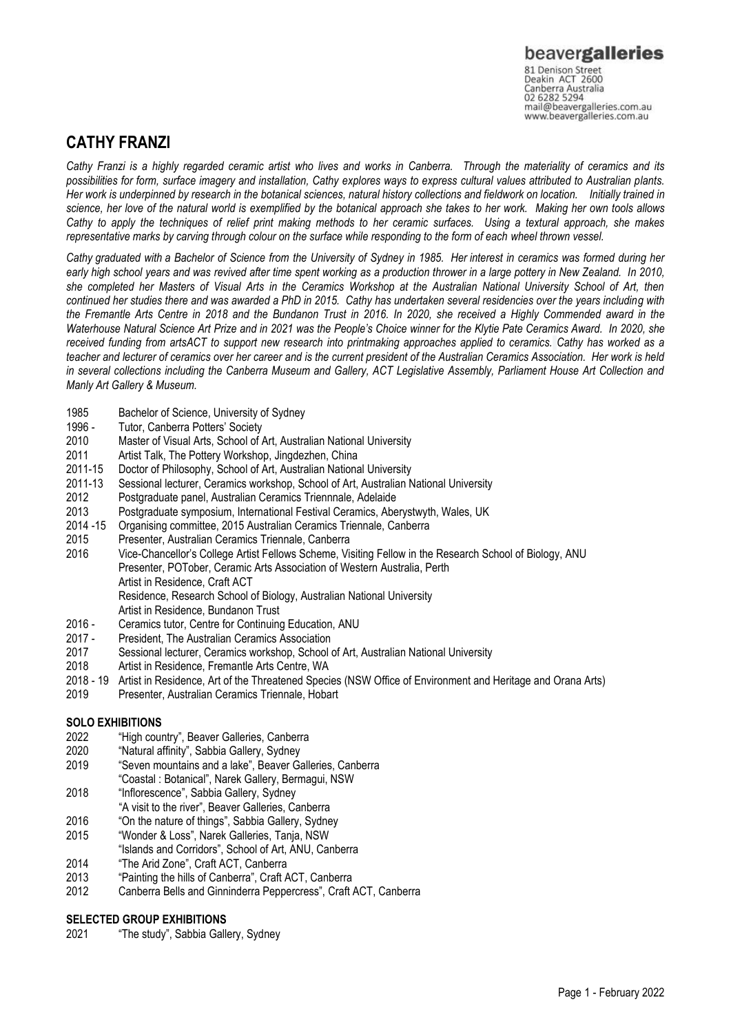## **CATHY FRANZI**

*Cathy Franzi is a highly regarded ceramic artist who lives and works in Canberra. Through the materiality of ceramics and its possibilities for form, surface imagery and installation, Cathy explores ways to express cultural values attributed to Australian plants. Her work is underpinned by research in the botanical sciences, natural history collections and fieldwork on location. Initially trained in science, her love of the natural world is exemplified by the botanical approach she takes to her work. Making her own tools allows Cathy to apply the techniques of relief print making methods to her ceramic surfaces. Using a textural approach, she makes representative marks by carving through colour on the surface while responding to the form of each wheel thrown vessel.*

*Cathy graduated with a Bachelor of Science from the University of Sydney in 1985. Her interest in ceramics was formed during her early high school years and was revived after time spent working as a production thrower in a large pottery in New Zealand. In 2010, she completed her Masters of Visual Arts in the Ceramics Workshop at the Australian National University School of Art, then continued her studies there and was awarded a PhD in 2015. Cathy has undertaken several residencies over the years including with the Fremantle Arts Centre in 2018 and the Bundanon Trust in 2016. In 2020, she received a Highly Commended award in the Waterhouse Natural Science Art Prize and in 2021 was the People's Choice winner for the Klytie Pate Ceramics Award. In 2020, she received funding from artsACT to support new research into printmaking approaches applied to ceramics. Cathy has worked as a teacher and lecturer of ceramics over her career and is the current president of the Australian Ceramics Association. Her work is held in several collections including the Canberra Museum and Gallery, ACT Legislative Assembly, Parliament House Art Collection and Manly Art Gallery & Museum.*

- 1985 Bachelor of Science, University of Sydney
- 1996 Tutor, Canberra Potters' Society<br>2010 Master of Visual Arts, School of
- Master of Visual Arts, School of Art, Australian National University
- 2011 Artist Talk, The Pottery Workshop, Jingdezhen, China
- 2011-15 Doctor of Philosophy, School of Art, Australian National University
- 2011-13 Sessional lecturer, Ceramics workshop, School of Art, Australian National University
- Postgraduate panel, Australian Ceramics Triennnale, Adelaide
- 2013 Postgraduate symposium, International Festival Ceramics, Aberystwyth, Wales, UK
- 2014 -15 Organising committee, 2015 Australian Ceramics Triennale, Canberra
- 2015 Presenter, Australian Ceramics Triennale, Canberra

2016 Vice-Chancellor's College Artist Fellows Scheme, Visiting Fellow in the Research School of Biology, ANU Presenter, POTober, Ceramic Arts Association of Western Australia, Perth Artist in Residence, Craft ACT Residence, Research School of Biology, Australian National University Artist in Residence, Bundanon Trust

- 2016 Ceramics tutor, Centre for Continuing Education, ANU<br>2017 President. The Australian Ceramics Association
- President, The Australian Ceramics Association
- 2017 Sessional lecturer, Ceramics workshop, School of Art, Australian National University
- 2018 Artist in Residence, Fremantle Arts Centre, WA
- 2018 19 Artist in Residence, Art of the Threatened Species (NSW Office of Environment and Heritage and Orana Arts)
- 2019 Presenter, Australian Ceramics Triennale, Hobart

## **SOLO EXHIBITIONS**

- 2022 "High country", Beaver Galleries, Canberra
- 2020 "Natural affinity", Sabbia Gallery, Sydney
- 2019 "Seven mountains and a lake", Beaver Galleries, Canberra
- "Coastal : Botanical", Narek Gallery, Bermagui, NSW
- 2018 "Inflorescence", Sabbia Gallery, Sydney
- "A visit to the river", Beaver Galleries, Canberra
- 2016 "On the nature of things", Sabbia Gallery, Sydney
- 2015 "Wonder & Loss", Narek Galleries, Tanja, NSW
- "Islands and Corridors", School of Art, ANU, Canberra
- 2014 "The Arid Zone", Craft ACT, Canberra
- 2013 "Painting the hills of Canberra", Craft ACT, Canberra
- 2012 Canberra Bells and Ginninderra Peppercress", Craft ACT, Canberra

## **SELECTED GROUP EXHIBITIONS**

2021 "The study", Sabbia Gallery, Sydney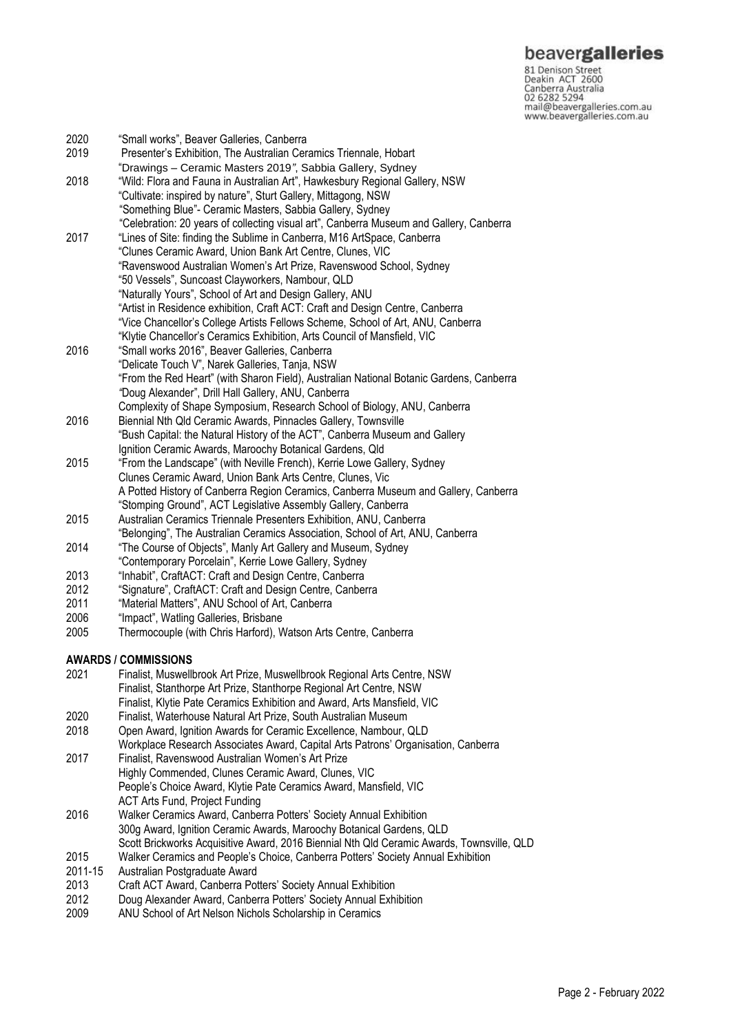**beavergalleries**<br> **81 Denison Street**<br>
Deakin ACT 2600<br>
Canberra Australia<br>
02 6282 5294<br>
mail@beavergalleries.com.au<br>
www.beavergalleries.com.au

| 2020    | "Small works", Beaver Galleries, Canberra                                                                                                     |
|---------|-----------------------------------------------------------------------------------------------------------------------------------------------|
| 2019    | Presenter's Exhibition, The Australian Ceramics Triennale, Hobart<br>"Drawings - Ceramic Masters 2019", Sabbia Gallery, Sydney                |
| 2018    | "Wild: Flora and Fauna in Australian Art", Hawkesbury Regional Gallery, NSW<br>"Cultivate: inspired by nature", Sturt Gallery, Mittagong, NSW |
|         | "Something Blue"- Ceramic Masters, Sabbia Gallery, Sydney                                                                                     |
|         | "Celebration: 20 years of collecting visual art", Canberra Museum and Gallery, Canberra                                                       |
| 2017    | "Lines of Site: finding the Sublime in Canberra, M16 ArtSpace, Canberra                                                                       |
|         | "Clunes Ceramic Award, Union Bank Art Centre, Clunes, VIC                                                                                     |
|         | "Ravenswood Australian Women's Art Prize, Ravenswood School, Sydney                                                                           |
|         | "50 Vessels", Suncoast Clayworkers, Nambour, QLD                                                                                              |
|         | "Naturally Yours", School of Art and Design Gallery, ANU                                                                                      |
|         | "Artist in Residence exhibition, Craft ACT: Craft and Design Centre, Canberra                                                                 |
|         | "Vice Chancellor's College Artists Fellows Scheme, School of Art, ANU, Canberra                                                               |
|         | "Klytie Chancellor's Ceramics Exhibition, Arts Council of Mansfield, VIC                                                                      |
| 2016    | "Small works 2016", Beaver Galleries, Canberra                                                                                                |
|         | "Delicate Touch V", Narek Galleries, Tanja, NSW                                                                                               |
|         | "From the Red Heart" (with Sharon Field), Australian National Botanic Gardens, Canberra                                                       |
|         | "Doug Alexander", Drill Hall Gallery, ANU, Canberra                                                                                           |
|         | Complexity of Shape Symposium, Research School of Biology, ANU, Canberra                                                                      |
| 2016    | Biennial Nth Qld Ceramic Awards, Pinnacles Gallery, Townsville                                                                                |
|         | "Bush Capital: the Natural History of the ACT", Canberra Museum and Gallery<br>Ignition Ceramic Awards, Maroochy Botanical Gardens, Qld       |
| 2015    | "From the Landscape" (with Neville French), Kerrie Lowe Gallery, Sydney                                                                       |
|         | Clunes Ceramic Award, Union Bank Arts Centre, Clunes, Vic                                                                                     |
|         | A Potted History of Canberra Region Ceramics, Canberra Museum and Gallery, Canberra                                                           |
|         | "Stomping Ground", ACT Legislative Assembly Gallery, Canberra                                                                                 |
| 2015    | Australian Ceramics Triennale Presenters Exhibition, ANU, Canberra                                                                            |
|         | "Belonging", The Australian Ceramics Association, School of Art, ANU, Canberra                                                                |
| 2014    | "The Course of Objects", Manly Art Gallery and Museum, Sydney                                                                                 |
|         | "Contemporary Porcelain", Kerrie Lowe Gallery, Sydney                                                                                         |
| 2013    | "Inhabit", CraftACT: Craft and Design Centre, Canberra                                                                                        |
| 2012    | "Signature", CraftACT: Craft and Design Centre, Canberra                                                                                      |
| 2011    | "Material Matters", ANU School of Art, Canberra                                                                                               |
| 2006    | "Impact", Watling Galleries, Brisbane                                                                                                         |
| 2005    | Thermocouple (with Chris Harford), Watson Arts Centre, Canberra                                                                               |
|         | AWARDS / COMMISSIONS                                                                                                                          |
| 2021    | Finalist, Muswellbrook Art Prize, Muswellbrook Regional Arts Centre, NSW                                                                      |
|         | Finalist, Stanthorpe Art Prize, Stanthorpe Regional Art Centre, NSW                                                                           |
|         | Finalist, Klytie Pate Ceramics Exhibition and Award, Arts Mansfield, VIC                                                                      |
| 2020    | Finalist, Waterhouse Natural Art Prize, South Australian Museum                                                                               |
| 2018    | Open Award, Ignition Awards for Ceramic Excellence, Nambour, QLD                                                                              |
| 2017    | Workplace Research Associates Award, Capital Arts Patrons' Organisation, Canberra                                                             |
|         | Finalist, Ravenswood Australian Women's Art Prize<br>Highly Commended, Clunes Ceramic Award, Clunes, VIC                                      |
|         | People's Choice Award, Klytie Pate Ceramics Award, Mansfield, VIC                                                                             |
|         | ACT Arts Fund, Project Funding                                                                                                                |
| 2016    | Walker Ceramics Award, Canberra Potters' Society Annual Exhibition                                                                            |
|         | 300g Award, Ignition Ceramic Awards, Maroochy Botanical Gardens, QLD                                                                          |
|         | Scott Brickworks Acquisitive Award, 2016 Biennial Nth Qld Ceramic Awards, Townsville, QLD                                                     |
| 2015    | Walker Ceramics and People's Choice, Canberra Potters' Society Annual Exhibition                                                              |
| 2011-15 | Australian Postgraduate Award                                                                                                                 |
| 2013    | Craft ACT Award, Canberra Potters' Society Annual Exhibition                                                                                  |
| 2012    | Doug Alexander Award, Canberra Potters' Society Annual Exhibition                                                                             |

2009 ANU School of Art Nelson Nichols Scholarship in Ceramics